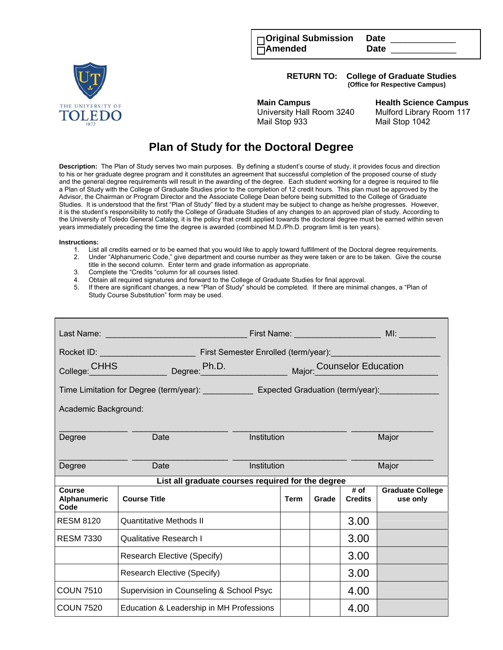| □Original Submission Date |             |  |
|---------------------------|-------------|--|
| $\overline{\Box}$ Amended | <b>Date</b> |  |

**RETURN TO: College of Graduate Studies (Office for Respective Campus)** 



**Main Campus****Health Science Campus**  University Hall Room 3240 Mulford Library Room 117 Mail Stop 933 Mail Stop 1042

## **Plan of Study for the Doctoral Degree**

**Description:** The Plan of Study serves two main purposes. By defining a student's course of study, it provides focus and direction to his or her graduate degree program and it constitutes an agreement that successful completion of the proposed course of study and the general degree requirements will result in the awarding of the degree. Each student working for a degree is required to file a Plan of Study with the College of Graduate Studies prior to the completion of 12 credit hours. This plan must be approved by the Advisor, the Chairman or Program Director and the Associate College Dean before being submitted to the College of Graduate Studies. It is understood that the first "Plan of Study" filed by a student may be subject to change as he/she progresses. However, it is the student's responsibility to notify the College of Graduate Studies of any changes to an approved plan of study. According to the University of Toledo General Catalog, it is the policy that credit applied towards the doctoral degree must be earned within seven years immediately preceding the time the degree is awarded (combined M.D./Ph.D. program limit is ten years).

## **Instructions:**

- 1. List all credits earned or to be earned that you would like to apply toward fulfillment of the Doctoral degree requirements.
- 2. Under "Alphanumeric Code," give department and course number as they were taken or are to be taken. Give the course title in the second column. Enter term and grade information as appropriate.
- 
- 3. Complete the "Credits "column for all courses listed.<br>4. Obtain all required signatures and forward to the Co 4. Obtain all required signatures and forward to the College of Graduate Studies for final approval.
- 5. If there are significant changes, a new "Plan of Study" should be completed. If there are minimal changes, a "Plan of Study Course Substitution" form may be used.

| Last Name: The Controller                                                                    |                                          |                                          |             |       |                        |                                     |
|----------------------------------------------------------------------------------------------|------------------------------------------|------------------------------------------|-------------|-------|------------------------|-------------------------------------|
|                                                                                              |                                          |                                          |             |       |                        |                                     |
| College: CHHS                                                                                |                                          | Degree: Ph.D. Major: Counselor Education |             |       |                        |                                     |
| Time Limitation for Degree (term/year): ______________ Expected Graduation (term/year): ____ |                                          |                                          |             |       |                        |                                     |
| Academic Background:                                                                         |                                          |                                          |             |       |                        |                                     |
|                                                                                              |                                          |                                          |             |       |                        |                                     |
| Degree                                                                                       | Date                                     | Institution                              |             |       |                        | Major                               |
| Degree                                                                                       | Date                                     | Institution                              |             | Major |                        |                                     |
| List all graduate courses required for the degree                                            |                                          |                                          |             |       |                        |                                     |
| Course<br>Alphanumeric<br>Code                                                               | <b>Course Title</b>                      |                                          | <b>Term</b> | Grade | # of<br><b>Credits</b> | <b>Graduate College</b><br>use only |
| <b>RESM 8120</b>                                                                             | Quantitative Methods II                  |                                          |             |       | 3.00                   |                                     |
| <b>RESM 7330</b>                                                                             | <b>Qualitative Research I</b>            |                                          |             |       | 3.00                   |                                     |
|                                                                                              | <b>Research Elective (Specify)</b>       |                                          |             |       | 3.00                   |                                     |
|                                                                                              | Research Elective (Specify)              |                                          |             |       | 3.00                   |                                     |
| <b>COUN 7510</b>                                                                             | Supervision in Counseling & School Psyc  |                                          |             |       | 4.00                   |                                     |
| <b>COUN 7520</b>                                                                             | Education & Leadership in MH Professions |                                          |             |       | 4.00                   |                                     |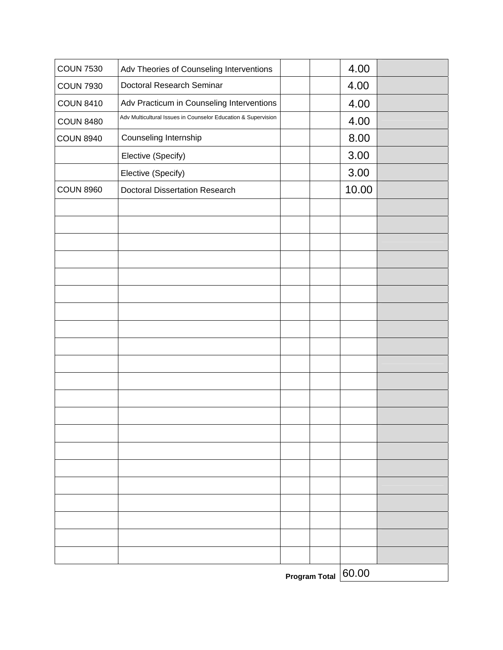|                  |                                                                                                            | <b>Program Total</b> | 60.00         |  |
|------------------|------------------------------------------------------------------------------------------------------------|----------------------|---------------|--|
|                  |                                                                                                            |                      |               |  |
|                  |                                                                                                            |                      |               |  |
|                  |                                                                                                            |                      |               |  |
|                  |                                                                                                            |                      |               |  |
|                  |                                                                                                            |                      |               |  |
|                  |                                                                                                            |                      |               |  |
|                  |                                                                                                            |                      |               |  |
|                  |                                                                                                            |                      |               |  |
|                  |                                                                                                            |                      |               |  |
|                  |                                                                                                            |                      |               |  |
|                  |                                                                                                            |                      |               |  |
|                  |                                                                                                            |                      |               |  |
|                  |                                                                                                            |                      |               |  |
|                  |                                                                                                            |                      |               |  |
|                  |                                                                                                            |                      |               |  |
|                  |                                                                                                            |                      |               |  |
|                  |                                                                                                            |                      |               |  |
|                  |                                                                                                            |                      |               |  |
|                  |                                                                                                            |                      |               |  |
|                  |                                                                                                            |                      |               |  |
|                  |                                                                                                            |                      |               |  |
| <b>COUN 8960</b> | Elective (Specify)<br><b>Doctoral Dissertation Research</b>                                                |                      | 3.00<br>10.00 |  |
|                  | Elective (Specify)                                                                                         |                      | 3.00          |  |
| <b>COUN 8940</b> | Counseling Internship                                                                                      |                      | 8.00          |  |
| <b>COUN 8480</b> |                                                                                                            |                      | 4.00          |  |
| <b>COUN 8410</b> | Adv Practicum in Counseling Interventions<br>Adv Multicultural Issues in Counselor Education & Supervision |                      | 4.00          |  |
| <b>COUN 7930</b> | Doctoral Research Seminar                                                                                  |                      | 4.00          |  |
| <b>COUN 7530</b> | Adv Theories of Counseling Interventions                                                                   |                      | 4.00          |  |
|                  |                                                                                                            |                      |               |  |